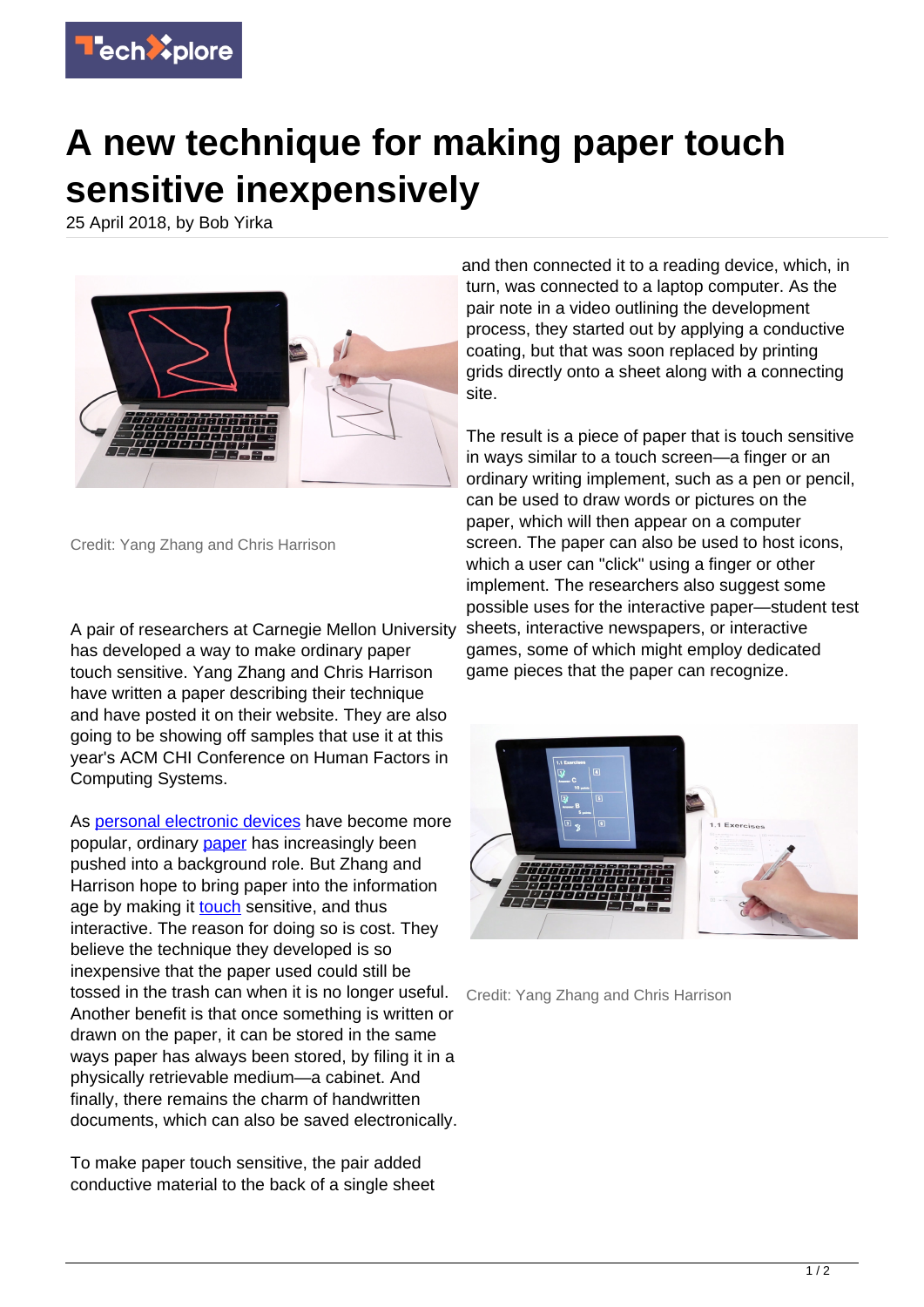

## **A new technique for making paper touch sensitive inexpensively**

25 April 2018, by Bob Yirka



Credit: Yang Zhang and Chris Harrison

A pair of researchers at Carnegie Mellon University has developed a way to make ordinary paper touch sensitive. Yang Zhang and Chris Harrison have written a paper describing their technique and have posted it on their website. They are also going to be showing off samples that use it at this year's ACM CHI Conference on Human Factors in Computing Systems.

As [personal electronic devices](https://techxplore.com/tags/personal+electronic+devices/) have become more popular, ordinary [paper](https://techxplore.com/tags/paper/) has increasingly been pushed into a background role. But Zhang and Harrison hope to bring paper into the information age by making it **[touch](https://techxplore.com/tags/touch/)** sensitive, and thus interactive. The reason for doing so is cost. They believe the technique they developed is so inexpensive that the paper used could still be tossed in the trash can when it is no longer useful. Another benefit is that once something is written or drawn on the paper, it can be stored in the same ways paper has always been stored, by filing it in a physically retrievable medium—a cabinet. And finally, there remains the charm of handwritten documents, which can also be saved electronically.

To make paper touch sensitive, the pair added conductive material to the back of a single sheet and then connected it to a reading device, which, in turn, was connected to a laptop computer. As the pair note in a video outlining the development process, they started out by applying a conductive coating, but that was soon replaced by printing grids directly onto a sheet along with a connecting site.

The result is a piece of paper that is touch sensitive in ways similar to a touch screen—a finger or an ordinary writing implement, such as a pen or pencil, can be used to draw words or pictures on the paper, which will then appear on a computer screen. The paper can also be used to host icons, which a user can "click" using a finger or other implement. The researchers also suggest some possible uses for the interactive paper—student test sheets, interactive newspapers, or interactive games, some of which might employ dedicated game pieces that the paper can recognize.



Credit: Yang Zhang and Chris Harrison